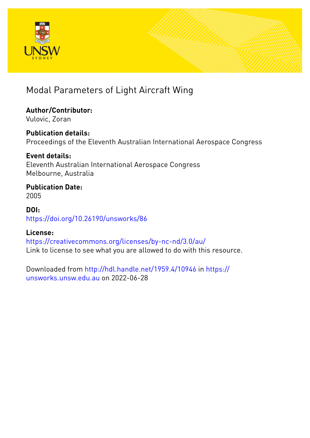

# Modal Parameters of Light Aircraft Wing

# **Author/Contributor:**

Vulovic, Zoran

## **Publication details:**

Proceedings of the Eleventh Australian International Aerospace Congress

## **Event details:**

Eleventh Australian International Aerospace Congress Melbourne, Australia

### **Publication Date:** 2005

### **DOI:** [https://doi.org/10.26190/unsworks/86](http://dx.doi.org/https://doi.org/10.26190/unsworks/86)

# **License:**

<https://creativecommons.org/licenses/by-nc-nd/3.0/au/> Link to license to see what you are allowed to do with this resource.

Downloaded from <http://hdl.handle.net/1959.4/10946> in [https://](https://unsworks.unsw.edu.au) [unsworks.unsw.edu.au](https://unsworks.unsw.edu.au) on 2022-06-28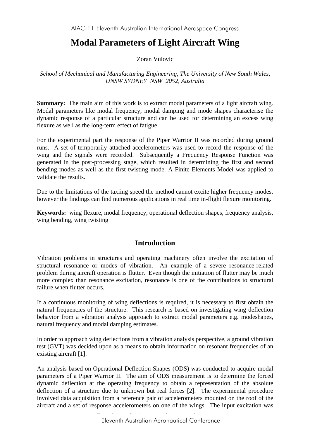# **Modal Parameters of Light Aircraft Wing**

#### Zoran Vulovic

#### *School of Mechanical and Manufacturing Engineering, The University of New South Wales, UNSW SYDNEY NSW 2052, Australia*

**Summary:** The main aim of this work is to extract modal parameters of a light aircraft wing. Modal parameters like modal frequency, modal damping and mode shapes characterise the dynamic response of a particular structure and can be used for determining an excess wing flexure as well as the long-term effect of fatigue.

For the experimental part the response of the Piper Warrior II was recorded during ground runs. A set of temporarily attached accelerometers was used to record the response of the wing and the signals were recorded. Subsequently a Frequency Response Function was generated in the post-processing stage, which resulted in determining the first and second bending modes as well as the first twisting mode. A Finite Elements Model was applied to validate the results.

Due to the limitations of the taxiing speed the method cannot excite higher frequency modes, however the findings can find numerous applications in real time in-flight flexure monitoring.

**Keywords:** wing flexure, modal frequency, operational deflection shapes, frequency analysis, wing bending, wing twisting

### **Introduction**

Vibration problems in structures and operating machinery often involve the excitation of structural resonance or modes of vibration. An example of a severe resonance-related problem during aircraft operation is flutter. Even though the initiation of flutter may be much more complex than resonance excitation, resonance is one of the contributions to structural failure when flutter occurs.

If a continuous monitoring of wing deflections is required, it is necessary to first obtain the natural frequencies of the structure. This research is based on investigating wing deflection behavior from a vibration analysis approach to extract modal parameters e.g. modeshapes, natural frequency and modal damping estimates.

In order to approach wing deflections from a vibration analysis perspective, a ground vibration test (GVT) was decided upon as a means to obtain information on resonant frequencies of an existing aircraft [1].

An analysis based on Operational Deflection Shapes (ODS) was conducted to acquire modal parameters of a Piper Warrior II. The aim of ODS measurement is to determine the forced dynamic deflection at the operating frequency to obtain a representation of the absolute deflection of a structure due to unknown but real forces [2]. The experimental procedure involved data acquisition from a reference pair of accelerometers mounted on the roof of the aircraft and a set of response accelerometers on one of the wings. The input excitation was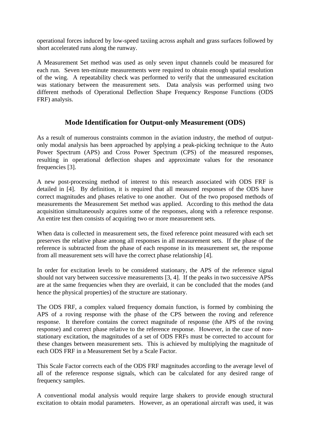operational forces induced by low-speed taxiing across asphalt and grass surfaces followed by short accelerated runs along the runway.

A Measurement Set method was used as only seven input channels could be measured for each run. Seven ten-minute measurements were required to obtain enough spatial resolution of the wing. A repeatability check was performed to verify that the unmeasured excitation was stationary between the measurement sets. Data analysis was performed using two different methods of Operational Deflection Shape Frequency Response Functions (ODS FRF) analysis.

### **Mode Identification for Output-only Measurement (ODS)**

As a result of numerous constraints common in the aviation industry, the method of outputonly modal analysis has been approached by applying a peak-picking technique to the Auto Power Spectrum (APS) and Cross Power Spectrum (CPS) of the measured responses, resulting in operational deflection shapes and approximate values for the resonance frequencies [3].

A new post-processing method of interest to this research associated with ODS FRF is detailed in [4]. By definition, it is required that all measured responses of the ODS have correct magnitudes and phases relative to one another. Out of the two proposed methods of measurements the Measurement Set method was applied. According to this method the data acquisition simultaneously acquires some of the responses, along with a reference response. An entire test then consists of acquiring two or more measurement sets.

When data is collected in measurement sets, the fixed reference point measured with each set preserves the relative phase among all responses in all measurement sets. If the phase of the reference is subtracted from the phase of each response in its measurement set, the response from all measurement sets will have the correct phase relationship [4].

In order for excitation levels to be considered stationary, the APS of the reference signal should not vary between successive measurements [3, 4]. If the peaks in two successive APSs are at the same frequencies when they are overlaid, it can be concluded that the modes (and hence the physical properties) of the structure are stationary.

The ODS FRF, a complex valued frequency domain function, is formed by combining the APS of a roving response with the phase of the CPS between the roving and reference response. It therefore contains the correct magnitude of response (the APS of the roving response) and correct phase relative to the reference response. However, in the case of nonstationary excitation, the magnitudes of a set of ODS FRFs must be corrected to account for these changes between measurement sets. This is achieved by multiplying the magnitude of each ODS FRF in a Measurement Set by a Scale Factor.

This Scale Factor corrects each of the ODS FRF magnitudes according to the average level of all of the reference response signals, which can be calculated for any desired range of frequency samples.

A conventional modal analysis would require large shakers to provide enough structural excitation to obtain modal parameters. However, as an operational aircraft was used, it was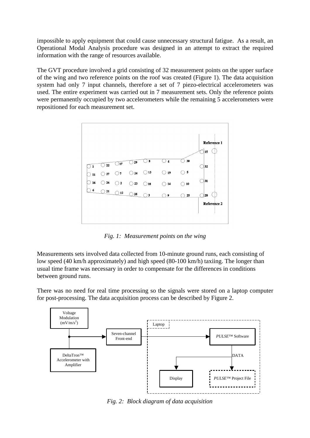impossible to apply equipment that could cause unnecessary structural fatigue. As a result, an Operational Modal Analysis procedure was designed in an attempt to extract the required information with the range of resources available.

The GVT procedure involved a grid consisting of 32 measurement points on the upper surface of the wing and two reference points on the roof was created (Figure 1). The data acquisition system had only 7 input channels, therefore a set of 7 piezo-electrical accelerometers was used. The entire experiment was carried out in 7 measurement sets. Only the reference points were permanently occupied by two accelerometers while the remaining 5 accelerometers were repositioned for each measurement set.



*Fig. 1: Measurement points on the wing*

Measurements sets involved data collected from 10-minute ground runs, each consisting of low speed (40 km/h approximately) and high speed (80-100 km/h) taxiing. The longer than usual time frame was necessary in order to compensate for the differences in conditions between ground runs.

There was no need for real time processing so the signals were stored on a laptop computer for post-processing. The data acquisition process can be described by Figure 2.



*Fig. 2: Block diagram of data acquisition*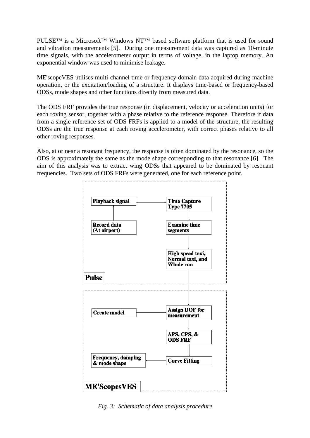PULSE<sup>™</sup> is a Microsoft<sup>™</sup> Windows NT<sup>™</sup> based software platform that is used for sound and vibration measurements [5]. During one measurement data was captured as 10-minute time signals, with the accelerometer output in terms of voltage, in the laptop memory. An exponential window was used to minimise leakage.

ME'scopeVES utilises multi-channel time or frequency domain data acquired during machine operation, or the excitation/loading of a structure. It displays time-based or frequency-based ODSs, mode shapes and other functions directly from measured data.

The ODS FRF provides the true response (in displacement, velocity or acceleration units) for each roving sensor, together with a phase relative to the reference response. Therefore if data from a single reference set of ODS FRFs is applied to a model of the structure, the resulting ODSs are the true response at each roving accelerometer, with correct phases relative to all other roving responses.

Also, at or near a resonant frequency, the response is often dominated by the resonance, so the ODS is approximately the same as the mode shape corresponding to that resonance [6]. The aim of this analysis was to extract wing ODSs that appeared to be dominated by resonant frequencies. Two sets of ODS FRFs were generated, one for each reference point.



*Fig. 3: Schematic of data analysis procedure*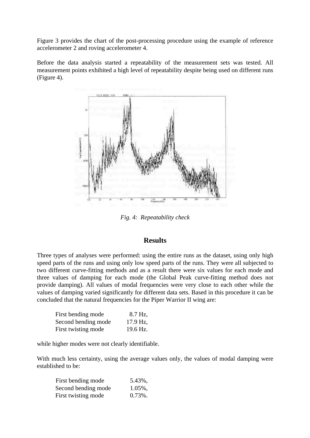Figure 3 provides the chart of the post-processing procedure using the example of reference accelerometer 2 and roving accelerometer 4.

Before the data analysis started a repeatability of the measurement sets was tested. All measurement points exhibited a high level of repeatability despite being used on different runs (Figure 4).



*Fig. 4: Repeatability check*

#### **Results**

Three types of analyses were performed: using the entire runs as the dataset, using only high speed parts of the runs and using only low speed parts of the runs. They were all subjected to two different curve-fitting methods and as a result there were six values for each mode and three values of damping for each mode (the Global Peak curve-fitting method does not provide damping). All values of modal frequencies were very close to each other while the values of damping varied significantly for different data sets. Based in this procedure it can be concluded that the natural frequencies for the Piper Warrior II wing are:

| First bending mode  | 8.7 Hz,  |
|---------------------|----------|
| Second bending mode | 17.9 Hz, |
| First twisting mode | 19.6 Hz. |

while higher modes were not clearly identifiable.

With much less certainty, using the average values only, the values of modal damping were established to be:

| First bending mode  | 5.43%,     |
|---------------------|------------|
| Second bending mode | $1.05\%$ , |
| First twisting mode | $0.73\%$ . |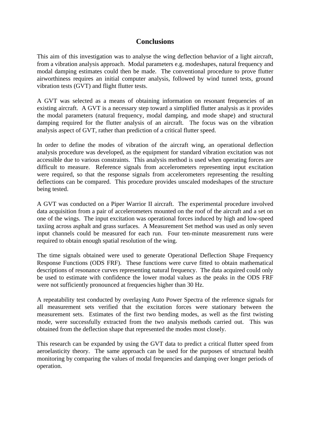### **Conclusions**

This aim of this investigation was to analyse the wing deflection behavior of a light aircraft, from a vibration analysis approach. Modal parameters e.g. modeshapes, natural frequency and modal damping estimates could then be made. The conventional procedure to prove flutter airworthiness requires an initial computer analysis, followed by wind tunnel tests, ground vibration tests (GVT) and flight flutter tests.

A GVT was selected as a means of obtaining information on resonant frequencies of an existing aircraft. A GVT is a necessary step toward a simplified flutter analysis as it provides the modal parameters (natural frequency, modal damping, and mode shape) and structural damping required for the flutter analysis of an aircraft. The focus was on the vibration analysis aspect of GVT, rather than prediction of a critical flutter speed.

In order to define the modes of vibration of the aircraft wing, an operational deflection analysis procedure was developed, as the equipment for standard vibration excitation was not accessible due to various constraints. This analysis method is used when operating forces are difficult to measure. Reference signals from accelerometers representing input excitation were required, so that the response signals from accelerometers representing the resulting deflections can be compared. This procedure provides unscaled modeshapes of the structure being tested.

A GVT was conducted on a Piper Warrior II aircraft. The experimental procedure involved data acquisition from a pair of accelerometers mounted on the roof of the aircraft and a set on one of the wings. The input excitation was operational forces induced by high and low-speed taxiing across asphalt and grass surfaces. A Measurement Set method was used as only seven input channels could be measured for each run. Four ten-minute measurement runs were required to obtain enough spatial resolution of the wing.

The time signals obtained were used to generate Operational Deflection Shape Frequency Response Functions (ODS FRF). These functions were curve fitted to obtain mathematical descriptions of resonance curves representing natural frequency. The data acquired could only be used to estimate with confidence the lower modal values as the peaks in the ODS FRF were not sufficiently pronounced at frequencies higher than 30 Hz.

A repeatability test conducted by overlaying Auto Power Spectra of the reference signals for all measurement sets verified that the excitation forces were stationary between the measurement sets. Estimates of the first two bending modes, as well as the first twisting mode, were successfully extracted from the two analysis methods carried out. This was obtained from the deflection shape that represented the modes most closely.

This research can be expanded by using the GVT data to predict a critical flutter speed from aeroelasticity theory. The same approach can be used for the purposes of structural health monitoring by comparing the values of modal frequencies and damping over longer periods of operation.